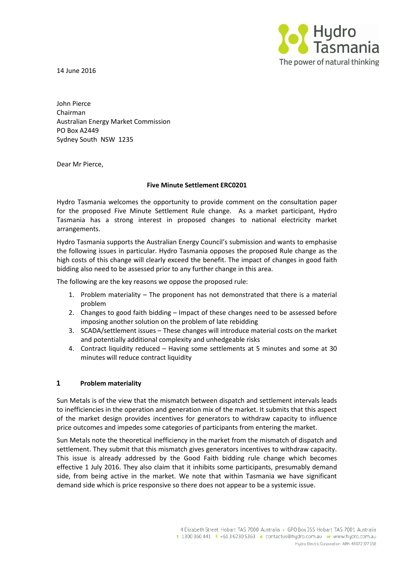

14 June 2016

John Pierce Chairman Australian Energy Market Commission PO Box A2449 Sydney South NSW 1235

Dear Mr Pierce,

### **Five Minute Settlement ERC0201**

Hydro Tasmania welcomes the opportunity to provide comment on the consultation paper for the proposed Five Minute Settlement Rule change. As a market participant, Hydro Tasmania has a strong interest in proposed changes to national electricity market arrangements.

Hydro Tasmania supports the Australian Energy Council's submission and wants to emphasise the following issues in particular. Hydro Tasmania opposes the proposed Rule change as the high costs of this change will clearly exceed the benefit. The impact of changes in good faith bidding also need to be assessed prior to any further change in this area.

The following are the key reasons we oppose the proposed rule:

- 1. Problem materiality The proponent has not demonstrated that there is a material problem
- 2. Changes to good faith bidding Impact of these changes need to be assessed before imposing another solution on the problem of late rebidding
- 3. SCADA/settlement issues These changes will introduce material costs on the market and potentially additional complexity and unhedgeable risks
- 4. Contract liquidity reduced Having some settlements at 5 minutes and some at 30 minutes will reduce contract liquidity

### **1 Problem materiality**

Sun Metals is of the view that the mismatch between dispatch and settlement intervals leads to inefficiencies in the operation and generation mix of the market. It submits that this aspect of the market design provides incentives for generators to withdraw capacity to influence price outcomes and impedes some categories of participants from entering the market.

Sun Metals note the theoretical inefficiency in the market from the mismatch of dispatch and settlement. They submit that this mismatch gives generators incentives to withdraw capacity. This issue is already addressed by the Good Faith bidding rule change which becomes effective 1 July 2016. They also claim that it inhibits some participants, presumably demand side, from being active in the market. We note that within Tasmania we have significant demand side which is price responsive so there does not appear to be a systemic issue.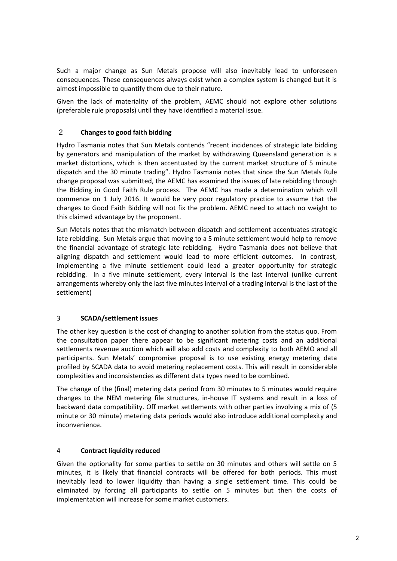Such a major change as Sun Metals propose will also inevitably lead to unforeseen consequences. These consequences always exist when a complex system is changed but it is almost impossible to quantify them due to their nature.

Given the lack of materiality of the problem, AEMC should not explore other solutions (preferable rule proposals) until they have identified a material issue.

# 2 **Changes to good faith bidding**

Hydro Tasmania notes that Sun Metals contends "recent incidences of strategic late bidding by generators and manipulation of the market by withdrawing Queensland generation is a market distortions, which is then accentuated by the current market structure of 5 minute dispatch and the 30 minute trading". Hydro Tasmania notes that since the Sun Metals Rule change proposal was submitted, the AEMC has examined the issues of late rebidding through the Bidding in Good Faith Rule process. The AEMC has made a determination which will commence on 1 July 2016. It would be very poor regulatory practice to assume that the changes to Good Faith Bidding will not fix the problem. AEMC need to attach no weight to this claimed advantage by the proponent.

Sun Metals notes that the mismatch between dispatch and settlement accentuates strategic late rebidding. Sun Metals argue that moving to a 5 minute settlement would help to remove the financial advantage of strategic late rebidding. Hydro Tasmania does not believe that aligning dispatch and settlement would lead to more efficient outcomes. In contrast, implementing a five minute settlement could lead a greater opportunity for strategic rebidding. In a five minute settlement, every interval is the last interval (unlike current arrangements whereby only the last five minutes interval of a trading interval is the last of the settlement)

## 3 **SCADA/settlement issues**

The other key question is the cost of changing to another solution from the status quo. From the consultation paper there appear to be significant metering costs and an additional settlements revenue auction which will also add costs and complexity to both AEMO and all participants. Sun Metals' compromise proposal is to use existing energy metering data profiled by SCADA data to avoid metering replacement costs. This will result in considerable complexities and inconsistencies as different data types need to be combined.

The change of the (final) metering data period from 30 minutes to 5 minutes would require changes to the NEM metering file structures, in-house IT systems and result in a loss of backward data compatibility. Off market settlements with other parties involving a mix of (5 minute or 30 minute) metering data periods would also introduce additional complexity and inconvenience.

### 4 **Contract liquidity reduced**

Given the optionality for some parties to settle on 30 minutes and others will settle on 5 minutes, it is likely that financial contracts will be offered for both periods. This must inevitably lead to lower liquidity than having a single settlement time. This could be eliminated by forcing all participants to settle on 5 minutes but then the costs of implementation will increase for some market customers.